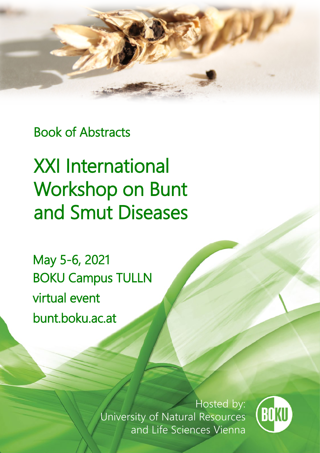

Book of Abstracts

XXI International Workshop on Bunt and Smut Diseases

May 5-6, 2021 BOKU Campus TULLN virtual event bunt.boku.ac.at

> Hosted by: University of Natural Resources and Life Sciences Vienna

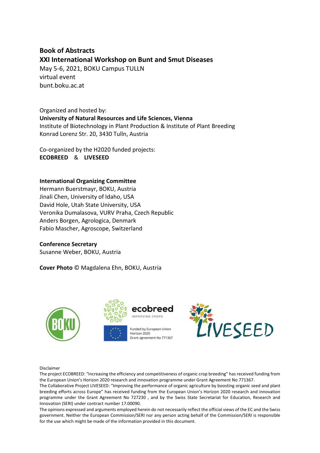## **Book of Abstracts XXI International Workshop on Bunt and Smut Diseases**

May 5-6, 2021, BOKU Campus TULLN virtual event bunt.boku.ac.at

Organized and hosted by: **University of Natural Resources and Life Sciences, Vienna** Institute of Biotechnology in Plant Production & Institute of Plant Breeding Konrad Lorenz Str. 20, 3430 Tulln, Austria

Co-organized by the H2020 funded projects: **ECOBREED** & **LIVESEED**

### **International Organizing Committee**

Hermann Buerstmayr, BOKU, Austria Jinali Chen, University of Idaho, USA David Hole, Utah State University, USA Veronika Dumalasova, VURV Praha, Czech Republic Anders Borgen, Agrologica, Denmark Fabio Mascher, Agroscope, Switzerland

### **Conference Secretary**

Susanne Weber, BOKU, Austria

**Cover Photo** © Magdalena Ehn, BOKU, Austria







Horizon 2020 Grant agreement No 771367



Disclaimer

The project ECOBREED: "Increasing the efficiency and competitiveness of organic crop breeding" has received funding from the European Union's Horizon 2020 research and innovation programme under Grant Agreement No 771367.

The Collaborative Project LIVESEED: "Improving the performance of organic agriculture by boosting organic seed and plant breeding efforts across Europe" has received funding from the European Union's Horizon 2020 research and innovation programme under the Grant Agreement No 727230 , and by the Swiss State Secretariat for Education, Research and Innovation (SERI) under contract number 17.00090.

The opinions expressed and arguments employed herein do not necessarily reflect the official views of the EC and the Swiss government. Neither the European Commission/SERI nor any person acting behalf of the Commission/SERI is responsible for the use which might be made of the information provided in this document.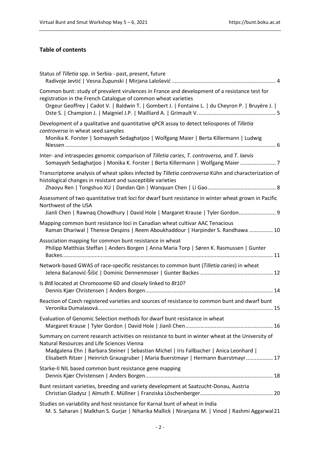### **Table of contents**

| Status of Tilletia spp. in Serbia - past, present, future                                                                                                                                                                                                                                                                        |
|----------------------------------------------------------------------------------------------------------------------------------------------------------------------------------------------------------------------------------------------------------------------------------------------------------------------------------|
| Common bunt: study of prevalent virulences in France and development of a resistance test for<br>registration in the French Catalogue of common wheat varieties<br>Orgeur Geoffrey   Cadot V.   Baldwin T.   Gombert J.   Fontaine L.   du Cheyron P.   Bruyère J.                                                               |
| Development of a qualitative and quantitative qPCR assay to detect teliospores of Tilletia<br>controversa in wheat seed samples<br>Monika K. Forster   Somayyeh Sedaghatjoo   Wolfgang Maier   Berta Killermann   Ludwig                                                                                                         |
| Inter- and intraspecies genomic comparison of Tilletia caries, T. controversa, and T. laevis<br>Somayyeh Sedaghatjoo   Monika K. Forster   Berta Killermann   Wolfgang Maier  7                                                                                                                                                  |
| Transcriptome analysis of wheat spikes infected by Tilletia controversa Kühn and characterization of<br>histological changes in resistant and susceptible varieties                                                                                                                                                              |
| Assessment of two quantitative trait loci for dwarf bunt resistance in winter wheat grown in Pacific<br>Northwest of the USA<br>Jianli Chen   Rawnaq Chowdhury   David Hole   Margaret Krause   Tyler Gordon 9                                                                                                                   |
| Mapping common bunt resistance loci in Canadian wheat cultivar AAC Tenacious<br>Raman Dhariwal   Therese Despins   Reem Aboukhaddour   Harpinder S. Randhawa  10                                                                                                                                                                 |
| Association mapping for common bunt resistance in wheat<br>Philipp Matthias Steffan   Anders Borgen   Anna Maria Torp   Søren K. Rasmussen   Gunter                                                                                                                                                                              |
| Network-based GWAS of race-specific resistances to common bunt (Tilletia caries) in wheat                                                                                                                                                                                                                                        |
| Is Bt8 located at Chromosome 6D and closely linked to Bt10?                                                                                                                                                                                                                                                                      |
| Reaction of Czech registered varieties and sources of resistance to common bunt and dwarf bunt                                                                                                                                                                                                                                   |
| Evaluation of Genomic Selection methods for dwarf bunt resistance in wheat                                                                                                                                                                                                                                                       |
| Summary on current research activities on resistance to bunt in winter wheat at the University of<br>Natural Resources and Life Sciences Vienna<br>Madgalena Ehn   Barbara Steiner   Sebastian Michel   Iris Fallbacher   Anica Leonhard  <br>Elisabeth Ritzer   Heinrich Grausgruber   Maria Buerstmayr   Hermann Buerstmayr 17 |
| Starke-II NIL based common bunt resistance gene mapping                                                                                                                                                                                                                                                                          |
| Bunt resistant varieties, breeding and variety development at Saatzucht-Donau, Austria                                                                                                                                                                                                                                           |
| Studies on variability and host resistance for Karnal bunt of wheat in India<br>M. S. Saharan   Malkhan S. Gurjar   Niharika Mallick   Niranjana M.   Vinod   Rashmi Aggarwal 21                                                                                                                                                 |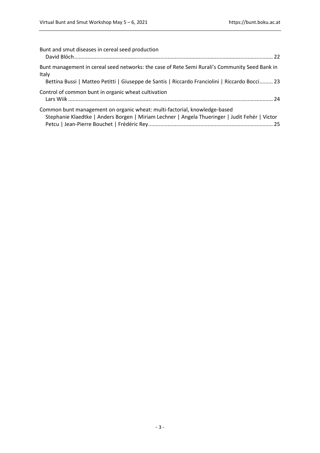| Bunt and smut diseases in cereal seed production                                                                                                                                                          |
|-----------------------------------------------------------------------------------------------------------------------------------------------------------------------------------------------------------|
| Bunt management in cereal seed networks: the case of Rete Semi Rurali's Community Seed Bank in<br>Italy<br>Bettina Bussi   Matteo Petitti   Giuseppe de Santis   Riccardo Franciolini   Riccardo Bocci 23 |
| Control of common bunt in organic wheat cultivation                                                                                                                                                       |
| Common bunt management on organic wheat: multi-factorial, knowledge-based<br>Stephanie Klaedtke   Anders Borgen   Miriam Lechner   Angela Thueringer   Judit Fehér   Victor                               |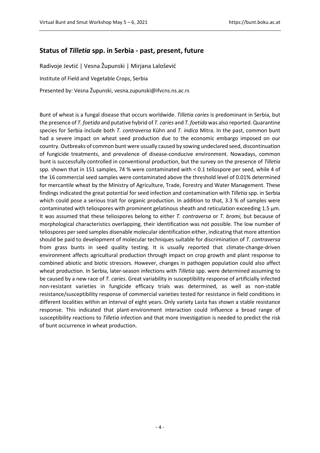### <span id="page-4-0"></span>**Status of** *Tilletia* **spp. in Serbia - past, present, future**

<span id="page-4-1"></span>Radivoje Jevtić | Vesna Župunski | Mirjana Lalošević Institute of Field and Vegetable Crops, Serbia Presented by: Vesna Župunski, vesna.zupunski@ifvcns.ns.ac.rs

Bunt of wheat is a fungal disease that occurs worldwide. *Tilletia caries* is predominant in Serbia, but the presence of *T. foetida* and putative hybrid of *T. caries* and *T. foetida* was also reported. Quarantine species for Serbia include both *T. contraversa* Kühn and *T. indica* Mitra. In the past, common bunt had a severe impact on wheat seed production due to the economic embargo imposed on our country. Outbreaks of common bunt were usually caused by sowing undeclared seed, discontinuation of fungicide treatments, and prevalence of disease-conducive environment. Nowadays, common bunt is successfully controlled in conventional production, but the survey on the presence of *Tilletia* spp. shown that in 151 samples, 74 % were contaminated with < 0.1 teliospore per seed, while 4 of the 16 commercial seed samples were contaminated above the threshold level of 0.01% determined for mercantile wheat by the Ministry of Agriculture, Trade, Forestry and Water Management. These findings indicated the great potential for seed infection and contamination with *Tilletia* spp. in Serbia which could pose a serious trait for organic production. In addition to that, 3.3 % of samples were contaminated with teliospores with prominent gelatinous sheath and reticulation exceeding 1.5 μm. It was assumed that these teliospores belong to either *T. contraversa* or *T. bromi,* but because of morphological characteristics overlapping, their identification was not possible. The low number of teliospores per seed samples disenable molecular identification either, indicating that more attention should be paid to development of molecular techniques suitable for discrimination of *T. contraversa* from grass bunts in seed quality testing. It is usually reported that climate-change-driven environment affects agricultural production through impact on crop growth and plant response to combined abiotic and biotic stressors. However, changes in pathogen population could also affect wheat production. In Serbia, later-season infections with *Tilletia* spp. were determined assuming to be caused by a new race of *T. caries*. Great variability in susceptibility response of artificially infected non-resistant varieties in fungicide efficacy trials was determined, as well as non-stable resistance/susceptibility response of commercial varieties tested for resistance in field conditions in different localities within an interval of eight years. Only variety Lasta has shown a stable resistance response. This indicated that plant-environment interaction could influence a broad range of susceptibility reactions to *Tilletia* infection and that more investigation is needed to predict the risk of bunt occurrence in wheat production.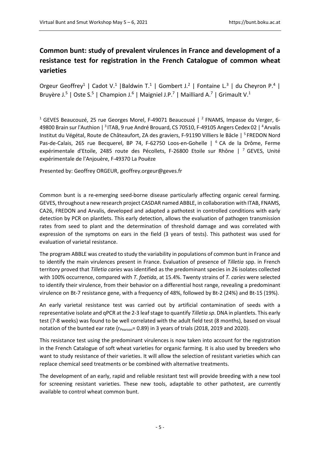# <span id="page-5-0"></span>**Common bunt: study of prevalent virulences in France and development of a resistance test for registration in the French Catalogue of common wheat varieties**

<span id="page-5-1"></span>Orgeur Geoffrey<sup>1</sup> | Cadot V.<sup>1</sup> | Baldwin T.<sup>1</sup> | Gombert J.<sup>2</sup> | Fontaine L.<sup>3</sup> | du Cheyron P.<sup>4</sup> | Bruyère J.<sup>5</sup> | Oste S.<sup>5</sup> | Champion J.<sup>6</sup> | Maigniel J.P.<sup>7</sup> | Mailliard A.<sup>7</sup> | Grimault V.<sup>1</sup>

<sup>1</sup> GEVES Beaucouzé, 25 rue Georges Morel, F-49071 Beaucouzé | <sup>2</sup> FNAMS, Impasse du Verger, 6-49800 Brain sur l'Authion | <sup>3</sup> ITAB, 9 rue André Brouard, CS 70510, F-49105 Angers Cedex 02 | 4Arvalis Institut du Végétal, Route de Châteaufort, ZA des graviers, F-91190 Villiers le Bâcle | <sup>5</sup> FREDON Nord Pas-de-Calais, 265 rue Becquerel, BP 74, F-62750 Loos-en-Gohelle | <sup>6</sup> CA de la Drôme, Ferme expérimentale d'Etoile, 2485 route des Pécollets, F-26800 Etoile sur Rhône | 7 GEVES, Unité expérimentale de l'Anjouère, F-49370 La Pouëze

Presented by: Geoffrey ORGEUR, geoffrey.orgeur@geves.fr

Common bunt is a re-emerging seed-borne disease particularly affecting organic cereal farming. GEVES, throughout a new research project CASDAR named ABBLE, in collaboration with ITAB, FNAMS, CA26, FREDON and Arvalis, developed and adapted a pathotest in controlled conditions with early detection by PCR on plantlets. This early detection, allows the evaluation of pathogen transmission rates from seed to plant and the determination of threshold damage and was correlated with expression of the symptoms on ears in the field (3 years of tests). This pathotest was used for evaluation of varietal resistance.

The program ABBLE was created to study the variability in populations of common bunt in France and to identify the main virulences present in France. Evaluation of presence of *Tilletia* spp. in French territory proved that *Tilletia caries* was identified as the predominant species in 26 isolates collected with 100% occurrence, compared with *T. foetida*, at 15.4%. Twenty strains of *T. caries* were selected to identify their virulence, from their behavior on a differential host range, revealing a predominant virulence on Bt-7 resistance gene, with a frequency of 48%, followed by Bt-2 (24%) and Bt-15 (19%).

An early varietal resistance test was carried out by artificial contamination of seeds with a representative isolate and qPCR at the 2-3 leaf stage to quantify *Tilletia sp*. DNA in plantlets. This early test (7-8 weeks) was found to be well correlated with the adult field test (8 months), based on visual notation of the bunted ear rate ( $r_{Pearson}$ = 0.89) in 3 years of trials (2018, 2019 and 2020).

This resistance test using the predominant virulences is now taken into account for the registration in the French Catalogue of soft wheat varieties for organic farming. It is also used by breeders who want to study resistance of their varieties. It will allow the selection of resistant varieties which can replace chemical seed treatments or be combined with alternative treatments.

The development of an early, rapid and reliable resistant test will provide breeding with a new tool for screening resistant varieties. These new tools, adaptable to other pathotest, are currently available to control wheat common bunt.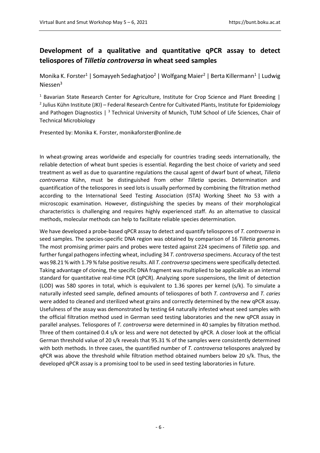## <span id="page-6-0"></span>**Development of a qualitative and quantitative qPCR assay to detect teliospores of** *Tilletia controversa* **in wheat seed samples**

<span id="page-6-1"></span>Monika K. Forster<sup>1</sup> | Somayyeh Sedaghatjoo<sup>2</sup> | Wolfgang Maier<sup>2</sup> | Berta Killermann<sup>1</sup> | Ludwig Niessen<sup>3</sup>

<sup>1</sup> Bavarian State Research Center for Agriculture, Institute for Crop Science and Plant Breeding |  $2$  Julius Kühn Institute (JKI) – Federal Research Centre for Cultivated Plants, Institute for Epidemiology and Pathogen Diagnostics  $\int_0^3$  Technical University of Munich, TUM School of Life Sciences, Chair of Technical Microbiology

Presented by: Monika K. Forster, monikaforster@online.de

In wheat-growing areas worldwide and especially for countries trading seeds internationally, the reliable detection of wheat bunt species is essential. Regarding the best choice of variety and seed treatment as well as due to quarantine regulations the causal agent of dwarf bunt of wheat, *Tilletia controversa* Kühn, must be distinguished from other *Tilletia* species. Determination and quantification of the teliospores in seed lots is usually performed by combining the filtration method according to the International Seed Testing Association (ISTA) Working Sheet No 53 with a microscopic examination. However, distinguishing the species by means of their morphological characteristics is challenging and requires highly experienced staff. As an alternative to classical methods, molecular methods can help to facilitate reliable species determination.

We have developed a probe-based qPCR assay to detect and quantify teliospores of *T. controversa* in seed samples. The species-specific DNA region was obtained by comparison of 16 *Tilletia* genomes. The most promising primer pairs and probes were tested against 224 specimens of *Tilletia* spp. and further fungal pathogens infecting wheat, including 34 *T. controversa* specimens. Accuracy of the test was 98.21 % with 1.79 % false positive results. All *T. controversa* specimens were specifically detected. Taking advantage of cloning, the specific DNA fragment was multiplied to be applicable as an internal standard for quantitative real-time PCR (qPCR). Analyzing spore suspensions, the limit of detection (LOD) was 580 spores in total, which is equivalent to 1.36 spores per kernel (s/k). To simulate a naturally infested seed sample, defined amounts of teliospores of both *T. controversa* and *T. caries* were added to cleaned and sterilized wheat grains and correctly determined by the new qPCR assay. Usefulness of the assay was demonstrated by testing 64 naturally infested wheat seed samples with the official filtration method used in German seed testing laboratories and the new qPCR assay in parallel analyses. Teliospores of *T. controversa* were determined in 40 samples by filtration method. Three of them contained 0.4 s/k or less and were not detected by qPCR. A closer look at the official German threshold value of 20 s/k reveals that 95.31 % of the samples were consistently determined with both methods. In three cases, the quantified number of *T. controversa* teliospores analyzed by qPCR was above the threshold while filtration method obtained numbers below 20 s/k. Thus, the developed qPCR assay is a promising tool to be used in seed testing laboratories in future.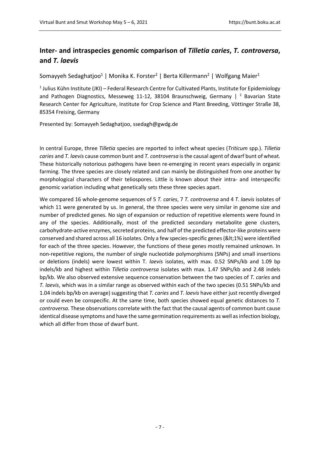## <span id="page-7-0"></span>**Inter- and intraspecies genomic comparison of** *Tilletia caries***,** *T. controversa***, and** *T. laevis*

<span id="page-7-1"></span>Somayyeh Sedaghatjoo<sup>1</sup> | Monika K. Forster<sup>2</sup> | Berta Killermann<sup>2</sup> | Wolfgang Maier<sup>1</sup>

 $1$  Julius Kühn Institute (JKI) – Federal Research Centre for Cultivated Plants, Institute for Epidemiology and Pathogen Diagnostics, Messeweg 11-12, 38104 Braunschweig, Germany  $\vert$  <sup>2</sup> Bavarian State Research Center for Agriculture, Institute for Crop Science and Plant Breeding, Vöttinger Straße 38, 85354 Freising, Germany

Presented by: Somayyeh Sedaghatjoo, ssedagh@gwdg.de

In central Europe, three *Tilletia* species are reported to infect wheat species (*Triticum* spp*.*). *Tilletia caries* and *T. laevis* cause common bunt and *T. controversa* is the causal agent of dwarf bunt of wheat. These historically notorious pathogens have been re-emerging in recent years especially in organic farming. The three species are closely related and can mainly be distinguished from one another by morphological characters of their teliospores. Little is known about their intra- and interspecific genomic variation including what genetically sets these three species apart.

We compared 16 whole-genome sequences of 5 *T. caries*, 7 *T. controversa* and 4 *T. laevis* isolates of which 11 were generated by us. In general, the three species were very similar in genome size and number of predicted genes. No sign of expansion or reduction of repetitive elements were found in any of the species. Additionally, most of the predicted secondary metabolite gene clusters, carbohydrate-active enzymes, secreted proteins, and half of the predicted effector-like proteins were conserved and shared across all 16 isolates. Only a few species-specific genes (<1%) were identified for each of the three species. However, the functions of these genes mostly remained unknown. In non-repetitive regions, the number of single nucleotide polymorphisms (SNPs) and small insertions or deletions (indels) were lowest within T*. laevis* isolates, with max. 0.52 SNPs/kb and 1.09 bp indels/kb and highest within *Tilletia controversa* isolates with max. 1.47 SNPs/kb and 2.48 indels bp/kb. We also observed extensive sequence conservation between the two species of *T. caries* and *T. laevis*, which was in a similar range as observed within each of the two species (0.51 SNPs/kb and 1.04 indels bp/kb on average) suggesting that *T. caries* and *T. laevis* have either just recently diverged or could even be conspecific. At the same time, both species showed equal genetic distances to *T. controversa.* These observations correlate with the fact that the causal agents of common bunt cause identical disease symptoms and have the same germination requirements as well as infection biology, which all differ from those of dwarf bunt.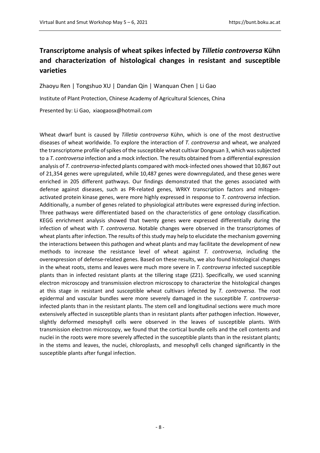# <span id="page-8-0"></span>**Transcriptome analysis of wheat spikes infected by** *Tilletia controversa* **Kühn and characterization of histological changes in resistant and susceptible varieties**

<span id="page-8-1"></span>Zhaoyu Ren | Tongshuo XU | Dandan Qin | Wanquan Chen | Li Gao Institute of Plant Protection, Chinese Academy of Agricultural Sciences, China Presented by: Li Gao, xiaogaosx@hotmail.com

Wheat dwarf bunt is caused by *Tilletia controversa* Kühn, which is one of the most destructive diseases of wheat worldwide. To explore the interaction of *T. controversa* and wheat, we analyzed the transcriptome profile of spikes of the susceptible wheat cultivar Dongxuan 3, which was subjected to a *T. controversa* infection and a mock infection. The results obtained from a differential expression analysis of *T. controversa*-infected plants compared with mock-infected ones showed that 10,867 out of 21,354 genes were upregulated, while 10,487 genes were downregulated, and these genes were enriched in 205 different pathways. Our findings demonstrated that the genes associated with defense against diseases, such as PR-related genes, WRKY transcription factors and mitogenactivated protein kinase genes, were more highly expressed in response to *T. controversa* infection. Additionally, a number of genes related to physiological attributes were expressed during infection. Three pathways were differentiated based on the characteristics of gene ontology classification. KEGG enrichment analysis showed that twenty genes were expressed differentially during the infection of wheat with *T. controversa*. Notable changes were observed in the transcriptomes of wheat plants after infection. The results of this study may help to elucidate the mechanism governing the interactions between this pathogen and wheat plants and may facilitate the development of new methods to increase the resistance level of wheat against *T. controversa*, including the overexpression of defense-related genes. Based on these results, we also found histological changes in the wheat roots, stems and leaves were much more severe in *T. controversa* infected susceptible plants than in infected resistant plants at the tillering stage (Z21). Specifically, we used scanning electron microscopy and transmission electron microscopy to characterize the histological changes at this stage in resistant and susceptible wheat cultivars infected by *T. controversa*. The root epidermal and vascular bundles were more severely damaged in the susceptible *T. controversa*infected plants than in the resistant plants. The stem cell and longitudinal sections were much more extensively affected in susceptible plants than in resistant plants after pathogen infection. However, slightly deformed mesophyll cells were observed in the leaves of susceptible plants. With transmission electron microscopy, we found that the cortical bundle cells and the cell contents and nuclei in the roots were more severely affected in the susceptible plants than in the resistant plants; in the stems and leaves, the nuclei, chloroplasts, and mesophyll cells changed significantly in the susceptible plants after fungal infection.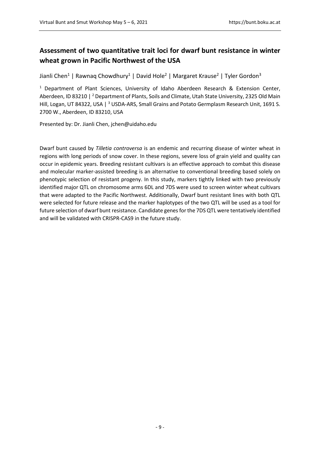## <span id="page-9-0"></span>**Assessment of two quantitative trait loci for dwarf bunt resistance in winter wheat grown in Pacific Northwest of the USA**

<span id="page-9-1"></span>Jianli Chen<sup>1</sup> | Rawnaq Chowdhury<sup>1</sup> | David Hole<sup>2</sup> | Margaret Krause<sup>2</sup> | Tyler Gordon<sup>3</sup>

<sup>1</sup> Department of Plant Sciences, University of Idaho Aberdeen Research & Extension Center, Aberdeen, ID 83210 | <sup>2</sup> Department of Plants, Soils and Climate, Utah State University, 2325 Old Main Hill, Logan, UT 84322, USA | <sup>3</sup> USDA-ARS, Small Grains and Potato Germplasm Research Unit, 1691 S. 2700 W., Aberdeen, ID 83210, USA

Presented by: Dr. Jianli Chen, jchen@uidaho.edu

Dwarf bunt caused by *Tilletia controversa* is an endemic and recurring disease of winter wheat in regions with long periods of snow cover. In these regions, severe loss of grain yield and quality can occur in epidemic years. Breeding resistant cultivars is an effective approach to combat this disease and molecular marker-assisted breeding is an alternative to conventional breeding based solely on phenotypic selection of resistant progeny. In this study, markers tightly linked with two previously identified major QTL on chromosome arms 6DL and 7DS were used to screen winter wheat cultivars that were adapted to the Pacific Northwest. Additionally, Dwarf bunt resistant lines with both QTL were selected for future release and the marker haplotypes of the two QTL will be used as a tool for future selection of dwarf bunt resistance. Candidate genes for the 7DS QTL were tentatively identified and will be validated with CRISPR-CAS9 in the future study.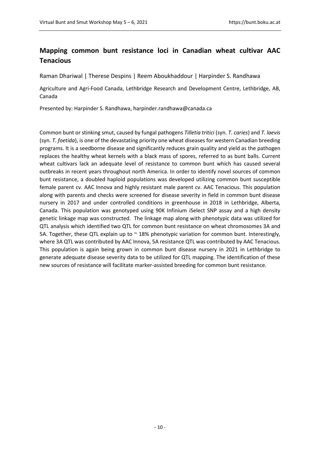## <span id="page-10-0"></span>**Mapping common bunt resistance loci in Canadian wheat cultivar AAC Tenacious**

<span id="page-10-1"></span>Raman Dhariwal | Therese Despins | Reem Aboukhaddour | Harpinder S. Randhawa

Agriculture and Agri-Food Canada, Lethbridge Research and Development Centre, Lethbridge, AB, Canada

Presented by: Harpinder S. Randhawa, harpinder.randhawa@canada.ca

Common bunt or stinking smut, caused by fungal pathogens *Tilletia tritici* (syn. *T. caries*) and *T. laevis* (syn. *T. foetida*), is one of the devastating priority one wheat diseases for western Canadian breeding programs. It is a seedborne disease and significantly reduces grain quality and yield as the pathogen replaces the healthy wheat kernels with a black mass of spores, referred to as bunt balls. Current wheat cultivars lack an adequate level of resistance to common bunt which has caused several outbreaks in recent years throughout north America. In order to identify novel sources of common bunt resistance, a doubled haploid populations was developed utilizing common bunt susceptible female parent cv. AAC Innova and highly resistant male parent cv. AAC Tenacious. This population along with parents and checks were screened for disease severity in field in common bunt disease nursery in 2017 and under controlled conditions in greenhouse in 2018 in Lethbridge, Alberta, Canada. This population was genotyped using 90K Infinium iSelect SNP assay and a high density genetic linkage map was constructed. The linkage map along with phenotypic data was utilized for QTL analysis which identified two QTL for common bunt resistance on wheat chromosomes 3A and 5A. Together, these QTL explain up to  $\sim$  18% phenotypic variation for common bunt. Interestingly, where 3A QTL was contributed by AAC Innova, 5A resistance QTL was contributed by AAC Tenacious. This population is again being grown in common bunt disease nursery in 2021 in Lethbridge to generate adequate disease severity data to be utilized for QTL mapping. The identification of these new sources of resistance will facilitate marker-assisted breeding for common bunt resistance.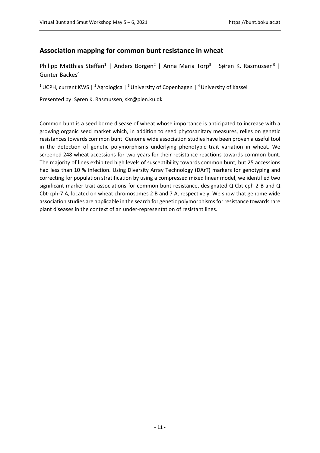### <span id="page-11-0"></span>**Association mapping for common bunt resistance in wheat**

<span id="page-11-1"></span>Philipp Matthias Steffan<sup>1</sup> | Anders Borgen<sup>2</sup> | Anna Maria Torp<sup>3</sup> | Søren K. Rasmussen<sup>3</sup> | Gunter Backes4

<sup>1</sup> UCPH, current KWS | <sup>2</sup> Agrologica | <sup>3</sup> University of Copenhagen | <sup>4</sup> University of Kassel

Presented by: Søren K. Rasmussen, skr@plen.ku.dk

Common bunt is a seed borne disease of wheat whose importance is anticipated to increase with a growing organic seed market which, in addition to seed phytosanitary measures, relies on genetic resistances towards common bunt. Genome wide association studies have been proven a useful tool in the detection of genetic polymorphisms underlying phenotypic trait variation in wheat. We screened 248 wheat accessions for two years for their resistance reactions towards common bunt. The majority of lines exhibited high levels of susceptibility towards common bunt, but 25 accessions had less than 10 % infection. Using Diversity Array Technology (DArT) markers for genotyping and correcting for population stratification by using a compressed mixed linear model, we identified two significant marker trait associations for common bunt resistance, designated Q Cbt-cph-2 B and Q Cbt-cph-7 A, located on wheat chromosomes 2 B and 7 A, respectively. We show that genome wide association studies are applicable in the search for genetic polymorphisms for resistance towards rare plant diseases in the context of an under-representation of resistant lines.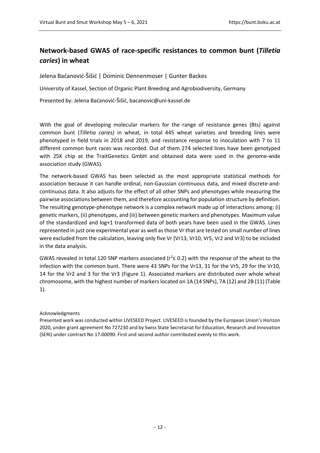# <span id="page-12-0"></span>**Network-based GWAS of race-specific resistances to common bunt (***Tilletia caries***) in wheat**

<span id="page-12-1"></span>Jelena Baćanović-Šišić | Dominic Dennenmoser | Gunter Backes

University of Kassel, Section of Organic Plant Breeding and Agrobiodiversity, Germany

Presented by: Jelena Baćanović-Šišić, bacanovic@uni-kassel.de

With the goal of developing molecular markers for the range of resistance genes (Bts) against common bunt (*Tilletia caries)* in wheat*,* in total 445 wheat varieties and breeding lines were phenotyped in field trials in 2018 and 2019, and resistance response to inoculation with 7 to 11 different common bunt races was recorded. Out of them 274 selected lines have been genotyped with 25K chip at the TraitGenetics GmbH and obtained data were used in the genome-wide association study (GWAS).

The network-based GWAS has been selected as the most appropriate statistical methods for association because it can handle ordinal, non-Gaussian continuous data, and mixed discrete-andcontinuous data. It also adjusts for the effect of all other SNPs and phenotypes while measuring the pairwise associations between them, and therefore accounting for population structure by definition. The resulting genotype-phenotype network is a complex network made up of interactions among: (i) genetic markers, (ii) phenotypes, and (iii) between genetic markers and phenotypes. Maximum value of the standardized and log+1 transformed data of both years have been used in the GWAS. Lines represented in just one experimental year as well as those Vr that are tested on small number of lines were excluded from the calculation, leaving only five Vr (Vr13, Vr10, Vr5, Vr2 and Vr3) to be included in the data analysis.

GWAS revealed in total 120 SNP markers associated ( $r^2 \le 0.2$ ) with the response of the wheat to the infection with the common bunt. There were 43 SNPs for the Vr13, 31 for the Vr5, 29 for the Vr10, 14 for the Vr2 and 3 for the Vr3 (Figure 1). Associated markers are distributed over whole wheat chromosome, with the highest number of markers located on 1A (14 SNPs), 7A (12) and 2B (11) (Table 1).

#### Acknowledgments

Presented work was conducted within LIVESEED Project. LIVESEED is founded by the European Union's Horizon 2020, under grant agreement No 727230 and by Swiss State Secretariat for Education, Research and Innovation (SERI) under contract No 17.00090. First and second author contributed evenly to this work.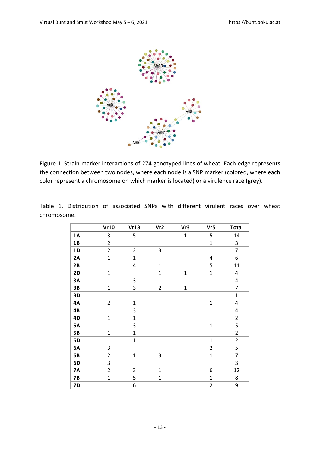

Figure 1. Strain-marker interactions of 274 genotyped lines of wheat. Each edge represents the connection between two nodes, where each node is a SNP marker (colored, where each color represent a chromosome on which marker is located) or a virulence race (grey).

Table 1. Distribution of associated SNPs with different virulent races over wheat chromosome.

|           | Vr10           | Vr13                    | Vr <sub>2</sub> | Vr3          | Vr5            | <b>Total</b>            |
|-----------|----------------|-------------------------|-----------------|--------------|----------------|-------------------------|
| <b>1A</b> | 3              | 5                       |                 | $\mathbf 1$  | 5              | 14                      |
| 1B        | $\overline{2}$ |                         |                 |              | $\mathbf 1$    | 3                       |
| 1D        | $\overline{2}$ | $\overline{2}$          | 3               |              |                | $\overline{7}$          |
| 2A        | $\overline{1}$ | $\mathbf{1}$            |                 |              | 4              | 6                       |
| 2B        | $\mathbf{1}$   | $\overline{\mathbf{4}}$ | $\mathbf 1$     |              | 5              | 11                      |
| 2D        | $\mathbf{1}$   |                         | $\mathbf{1}$    | $\mathbf{1}$ | $\mathbf 1$    | 4                       |
| 3A        | $\mathbf{1}$   | 3                       |                 |              |                | $\overline{\mathbf{4}}$ |
| 3B        | $\mathbf{1}$   | 3                       | $\overline{2}$  | $\mathbf{1}$ |                | $\overline{7}$          |
| 3D        |                |                         | $\mathbf 1$     |              |                | $\mathbf{1}$            |
| <b>4A</b> | $\overline{2}$ | $\mathbf{1}$            |                 |              | $\mathbf{1}$   | $\overline{\mathbf{4}}$ |
| 4B        | $\mathbf{1}$   | 3                       |                 |              |                | $\overline{\mathbf{4}}$ |
| 4D        | $\mathbf{1}$   | $\mathbf{1}$            |                 |              |                | $\overline{2}$          |
| <b>5A</b> | $\mathbf{1}$   | 3                       |                 |              | $\mathbf{1}$   | 5                       |
| <b>5B</b> | $\mathbf{1}$   | $\overline{1}$          |                 |              |                | $\overline{2}$          |
| <b>5D</b> |                | $\mathbf{1}$            |                 |              | $\mathbf{1}$   | $\overline{2}$          |
| 6A        | 3              |                         |                 |              | $\overline{2}$ | 5                       |
| 6B        | $\overline{2}$ | $\mathbf 1$             | 3               |              | $\mathbf 1$    | $\overline{7}$          |
| 6D        | 3              |                         |                 |              |                | 3                       |
| <b>7A</b> | $\overline{2}$ | 3                       | $\mathbf{1}$    |              | 6              | 12                      |
| <b>7B</b> | $\mathbf{1}$   | 5                       | $\mathbf{1}$    |              | $\mathbf{1}$   | 8                       |
| <b>7D</b> |                | 6                       | $\mathbf{1}$    |              | $\overline{2}$ | 9                       |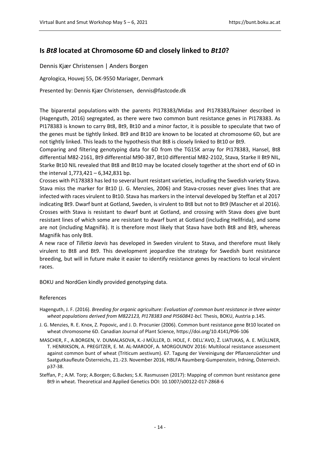### <span id="page-14-0"></span>**Is** *Bt8* **located at Chromosome 6D and closely linked to** *Bt10***?**

<span id="page-14-1"></span>Dennis Kjær Christensen | Anders Borgen

Agrologica, Houvej 55, DK-9550 Mariager, Denmark

Presented by: Dennis Kjær Christensen, dennis@fastcode.dk

The biparental populations with the parents PI178383/Midas and PI178383/Rainer described in (Hagenguth, 2016) segregated, as there were two common bunt resistance genes in PI178383. As PI178383 is known to carry Bt8, Bt9, Bt10 and a minor factor, it is possible to speculate that two of the genes must be tightly linked. Bt9 and Bt10 are known to be located at chromosome 6D, but are not tightly linked. This leads to the hypothesis that Bt8 is closely linked to Bt10 or Bt9.

Comparing and filtering genotyping data for 6D from the TG15K array for PI178383, Hansel, Bt8 differential M82-2161, Bt9 differential M90-387, Bt10 differential M82-2102, Stava, Starke II Bt9 NIL, Starke Bt10 NIL revealed that Bt8 and Bt10 may be located closely together at the short end of 6D in the interval 1,773,421 – 6,342,831 bp.

Crosses with Pi178383 has led to several bunt resistant varieties, including the Swedish variety Stava. Stava miss the marker for Bt10 (J. G. Menzies, 2006) and Stava-crosses never gives lines that are infected with races virulent to Bt10. Stava has markers in the interval developed by Steffan et al 2017 indicating Bt9. Dwarf bunt at Gotland, Sweden, is virulent to Bt8 but not to Bt9 (Mascher et al 2016). Crosses with Stava is resistant to dwarf bunt at Gotland, and crossing with Stava does give bunt resistant lines of which some are resistant to dwarf bunt at Gotland (including Hellfrida), and some are not (including Magnifik). It is therefore most likely that Stava have both Bt8 and Bt9, whereas Magnifik has only Bt8.

A new race of *Tilletia laevis* has developed in Sweden virulent to Stava, and therefore must likely virulent to Bt8 and Bt9. This development jeopardize the strategy for Swedish bunt resistance breeding, but will in future make it easier to identify resistance genes by reactions to local virulent races.

BOKU and NordGen kindly provided genotyping data.

#### References

- Hagenguth, J. F. (2016). *Breeding for organic agriculture: Evaluation of common bunt resistance in three winter wheat populations derived from M822123, PI178383 and PI560841-bcl.* Thesis, BOKU, Austria p.145.
- J. G. Menzies, R. E. Knox, Z. Popovic, and J. D. Procunier (2006). Common bunt resistance gene Bt10 located on wheat chromosome 6D. Canadian Journal of Plant Science, https://doi.org/10.4141/P06-106
- MASCHER, F., A.BORGEN, V. DUMALASOVA, K.-J MÜLLER, D. HOLE, F. DELL'AVO, Ž. LIATUKAS, A. E. MÜLLNER, T. HENRIKSON, A. PREGITZER, E. M. AL-MAROOF, A. MORGOUNOV 2016: Multilocal resistance assessment against common bunt of wheat (Triticum aestivum). 67. Tagung der Vereinigung der Pflanzenzüchter und Saatgutkaufleute Österreichs, 21.-23. November 2016, HBLFA Raumberg-Gumpenstein, Irdning, Österreich. p37-38.
- Steffan, P.; A.M. Torp; A.Borgen; G.Backes; S.K. Rasmussen (2017): Mapping of common bunt resistance gene Bt9 in wheat. Theoretical and Applied Genetics DOI: 10.1007/s00122-017-2868-6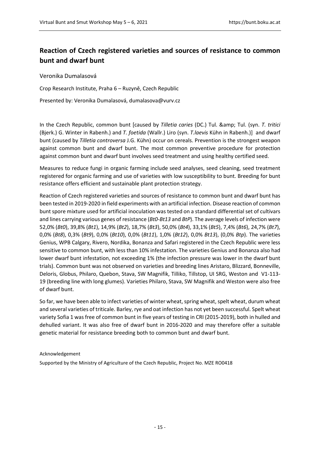# <span id="page-15-0"></span>**Reaction of Czech registered varieties and sources of resistance to common bunt and dwarf bunt**

<span id="page-15-1"></span>Veronika Dumalasová

Crop Research Institute, Praha 6 – Ruzyně, Czech Republic

Presented by: Veronika Dumalasová, dumalasova@vurv.cz

In the Czech Republic, common bunt [caused by *Tilletia caries* (DC.) Tul. & amp; Tul. (syn. *T. tritici* (Bjerk.) G. Winter in Rabenh.) and *T. foetida* (Wallr.) Liro (syn. *T.laevis* Kühn in Rabenh.)] and dwarf bunt (caused by *Tilletia controversa* J.G. Kühn) occur on cereals. Prevention is the strongest weapon against common bunt and dwarf bunt. The most common preventive procedure for protection against common bunt and dwarf bunt involves seed treatment and using healthy certified seed.

Measures to reduce fungi in organic farming include seed analyses, seed cleaning, seed treatment registered for organic farming and use of varieties with low susceptibility to bunt. Breeding for bunt resistance offers efficient and sustainable plant protection strategy.

Reaction of Czech registered varieties and sources of resistance to common bunt and dwarf bunt has been tested in 2019-2020 in field experiments with an artificial infection. Disease reaction of common bunt spore mixture used for artificial inoculation was tested on a standard differential set of cultivars and lines carrying various genes of resistance (*Bt0-Bt13* and *BtP*). The average levels of infection were 52,0% (*Bt0*), 39,8% (*Bt1*), 14,9% (*Bt2*), 18,7% (*Bt3*), 50,0% (*Bt4*), 33,1% (*Bt5*), 7,4% (*Bt6*), 24,7% (*Bt7*), 0,0% (*Bt8*), 0,3% (*Bt9*), 0,0% (*Bt10*), 0,0% (*Bt11*), 1,0% (*Bt12*), 0,0% *Bt13*), (0,0% *Btp*). The varieties Genius, WPB Calgary, Rivero, Nordika, Bonanza and Safari registered in the Czech Republic were less sensitive to common bunt, with less than 10% infestation. The varieties Genius and Bonanza also had lower dwarf bunt infestation, not exceeding 1% (the infection pressure was lower in the dwarf bunt trials). Common bunt was not observed on varieties and breeding lines Aristaro, Blizzard, Bonneville, Deloris, Globus, Philaro, Quebon, Stava, SW Magnifik, Tilliko, Tillstop, UI SRG, Weston and V1-113- 19 (breeding line with long glumes). Varieties Philaro, Stava, SW Magnifik and Weston were also free of dwarf bunt.

So far, we have been able to infect varieties of winter wheat, spring wheat, spelt wheat, durum wheat and several varieties of triticale. Barley, rye and oat infection has not yet been successful. Spelt wheat variety Sofia 1 was free of common bunt in five years of testing in CRI (2015-2019), both in hulled and dehulled variant. It was also free of dwarf bunt in 2016-2020 and may therefore offer a suitable genetic material for resistance breeding both to common bunt and dwarf bunt.

#### Acknowledgement

Supported by the Ministry of Agriculture of the Czech Republic, Project No. MZE RO0418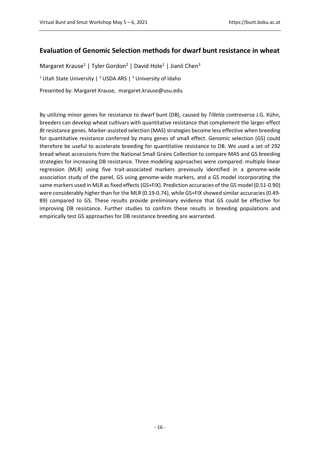### <span id="page-16-0"></span>**Evaluation of Genomic Selection methods for dwarf bunt resistance in wheat**

<span id="page-16-1"></span>Margaret Krause<sup>1</sup> | Tyler Gordon<sup>2</sup> | David Hole<sup>1</sup> | Jianli Chen<sup>3</sup>

<sup>1</sup> Utah State University | <sup>2</sup> USDA ARS | <sup>3</sup> University of Idaho

Presented by: Margaret Krause, margaret.krause@usu.edu

By utilizing minor genes for resistance to dwarf bunt (DB), caused by *Tilletia controversa* J.G. Kühn, breeders can develop wheat cultivars with quantitative resistance that complement the larger-effect *Bt* resistance genes. Marker-assisted selection (MAS) strategies become less effective when breeding for quantitative resistance conferred by many genes of small effect. Genomic selection (GS) could therefore be useful to accelerate breeding for quantitative resistance to DB. We used a set of 292 bread wheat accessions from the National Small Grains Collection to compare MAS and GS breeding strategies for increasing DB resistance. Three modeling approaches were compared: multiple linear regression (MLR) using five trait-associated markers previously identified in a genome-wide association study of the panel, GS using genome-wide markers, and a GS model incorporating the same markers used in MLR as fixed effects (GS+FIX). Prediction accuracies of the GS model (0.51-0.90) were considerably higher than for the MLR (0.19-0.74), while GS+FIX showed similar accuracies (0.49- 89) compared to GS. These results provide preliminary evidence that GS could be effective for improving DB resistance. Further studies to confirm these results in breeding populations and empirically test GS approaches for DB resistance breeding are warranted.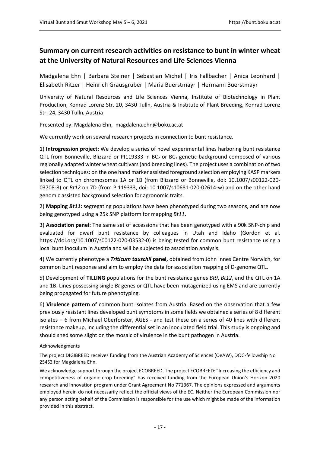# <span id="page-17-0"></span>**Summary on current research activities on resistance to bunt in winter wheat at the University of Natural Resources and Life Sciences Vienna**

<span id="page-17-1"></span>Madgalena Ehn | Barbara Steiner | Sebastian Michel | Iris Fallbacher | Anica Leonhard | Elisabeth Ritzer | Heinrich Grausgruber | Maria Buerstmayr | Hermann Buerstmayr

University of Natural Resources and Life Sciences Vienna, Institute of Biotechnology in Plant Production, Konrad Lorenz Str. 20, 3430 Tulln, Austria & Institute of Plant Breeding, Konrad Lorenz Str. 24, 3430 Tulln, Austria

Presented by: Magdalena Ehn, magdalena.ehn@boku.ac.at

We currently work on several research projects in connection to bunt resistance.

1) **Introgression project:** We develop a series of novel experimental lines harboring bunt resistance QTL from Bonneville, Blizzard or PI119333 in BC<sub>2</sub> or BC<sub>3</sub> genetic background composed of various regionally adapted winter wheat cultivars (and breeding lines). The project uses a combination of two selection techniques: on the one hand marker assisted foreground selection employing KASP markers linked to QTL on chromosomes 1A or 1B (from Blizzard or Bonneville, doi: 10.1007/s00122-020- 03708-8) or *Bt12* on 7D (from PI119333, doi: 10.1007/s10681-020-02614-w) and on the other hand genomic assisted background selection for agronomic traits.

2) **Mapping** *Bt11***:** segregating populations have been phenotyped during two seasons, and are now being genotyped using a 25k SNP platform for mapping *Bt11*.

3) **Association panel:** The same set of accessions that has been genotyped with a 90k SNP-chip and evaluated for dwarf bunt resistance by colleagues in Utah and Idaho (Gordon et al. https://doi.org/10.1007/s00122-020-03532-0) is being tested for common bunt resistance using a local bunt inoculum in Austria and will be subjected to association analysis.

4) We currently phenotype a *Triticum tauschii* **panel,** obtained from John Innes Centre Norwich, for common bunt response and aim to employ the data for association mapping of D-genome QTL.

5) Development of **TILLING** populations for the bunt resistance genes *Bt9*, *Bt12*, and the QTL on 1A and 1B. Lines possessing single *Bt* genes or QTL have been mutagenized using EMS and are currently being propagated for future phenotyping.

6) **Virulence pattern** of common bunt isolates from Austria. Based on the observation that a few previously resistant lines developed bunt symptoms in some fields we obtained a series of 8 different isolates – 6 from Michael Oberforster, AGES - and test these on a series of 40 lines with different resistance makeup, including the differential set in an inoculated field trial. This study is ongoing and should shed some slight on the mosaic of virulence in the bunt pathogen in Austria.

Acknowledgments

The project DIGIBREED receives funding from the Austrian Academy of Sciences (OeAW), DOC-fellowship No 25453 for Magdalena Ehn.

We acknowledge support through the project ECOBREED. The project ECOBREED: "Increasing the efficiency and competitiveness of organic crop breeding" has received funding from the European Union's Horizon 2020 research and innovation program under Grant Agreement No 771367. The opinions expressed and arguments employed herein do not necessarily reflect the official views of the EC. Neither the European Commission nor any person acting behalf of the Commission is responsible for the use which might be made of the information provided in this abstract.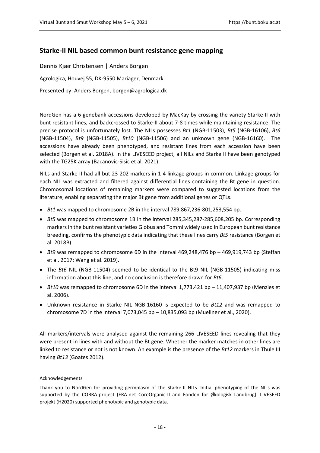### <span id="page-18-0"></span>**Starke-II NIL based common bunt resistance gene mapping**

<span id="page-18-1"></span>Dennis Kjær Christensen | Anders Borgen Agrologica, Houvej 55, DK-9550 Mariager, Denmark Presented by: Anders Borgen, borgen@agrologica.dk

NordGen has a 6 genebank accessions developed by MacKay by crossing the variety Starke-II with bunt resistant lines, and backcrossed to Starke-II about 7-8 times while maintaining resistance. The precise protocol is unfortunately lost. The NILs possesses *Bt1* (NGB-11503), *Bt5* (NGB-16106), *Bt6* (NGB-11504), *Bt9* (NGB-11505), *Bt10* (NGB-11506) and an unknown gene (NGB-16160). The accessions have already been phenotyped, and resistant lines from each accession have been selected (Borgen et al. 2018A). In the LIVESEED project, all NILs and Starke II have been genotyped with the TG25K array (Bacanovic-Sisic et al. 2021).

NILs and Starke II had all but 23-202 markers in 1-4 linkage groups in common. Linkage groups for each NIL was extracted and filtered against differential lines containing the Bt gene in question. Chromosomal locations of remaining markers were compared to suggested locations from the literature, enabling separating the major Bt gene from additional genes or QTLs.

- *Bt1* was mapped to chromosome 2B in the interval 789,867,236-801,253,554 bp.
- *Bt5* was mapped to chromosome 1B in the interval 285,345,287-285,608,205 bp. Corresponding markers in the bunt resistant varieties Globus and Tommi widely used in European bunt resistance breeding, confirms the phenotypic data indicating that these lines carry *Bt5* resistance (Borgen et al. 2018B).
- *Bt9* was remapped to chromosome 6D in the interval 469,248,476 bp 469,919,743 bp (Steffan et al. 2017; Wang et al. 2019).
- The *Bt6* NIL (NGB-11504) seemed to be identical to the Bt9 NIL (NGB-11505) indicating miss information about this line, and no conclusion is therefore drawn for *Bt6*.
- *Bt10* was remapped to chromosome 6D in the interval 1,773,421 bp 11,407,937 bp (Menzies et al. 2006).
- Unknown resistance in Starke NIL NGB-16160 is expected to be *Bt12* and was remapped to chromosome 7D in the interval 7,073,045 bp – 10,835,093 bp (Muellner et al., 2020).

All markers/intervals were analysed against the remaining 266 LIVESEED lines revealing that they were present in lines with and without the Bt gene. Whether the marker matches in other lines are linked to resistance or not is not known. An example is the presence of the *Bt12* markers in Thule III having *Bt13* (Goates 2012).

#### Acknowledgements

Thank you to NordGen for providing germplasm of the Starke-II NILs. Initial phenotyping of the NILs was supported by the COBRA-project (ERA-net CoreOrganic-II and Fonden for Økologisk Landbrug). LIVESEED projekt (H2020) supported phenotypic and genotypic data.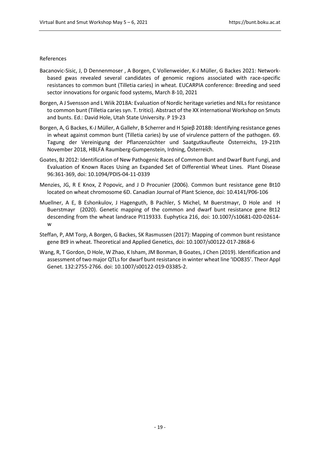#### References

- Bacanovic-Sisic, J, D Dennenmoser , A Borgen, C Vollenweider, K-J Müller, G Backes 2021: Networkbased gwas revealed several candidates of genomic regions associated with race-specific resistances to common bunt (Tilletia caries) in wheat. EUCARPIA conference: Breeding and seed sector innovations for organic food systems, March 8-10, 2021
- Borgen, A J Svensson and L Wiik 2018A: Evaluation of Nordic heritage varieties and NILs for resistance to common bunt (Tilletia caries syn. T. tritici). Abstract of the XX international Workshop on Smuts and bunts. Ed.: David Hole, Utah State University. P 19-23
- Borgen, A, G Backes, K-J Müller, A Gallehr, B Scherrer and H Spieβ 2018B: Identifying resistance genes in wheat against common bunt (Tilletia caries) by use of virulence pattern of the pathogen. 69. Tagung der Vereinigung der Pflanzenzüchter und Saatgutkaufleute Österreichs, 19-21th November 2018, HBLFA Raumberg-Gumpenstein, Irdning, Österreich.
- Goates, BJ 2012: Identification of New Pathogenic Races of Common Bunt and Dwarf Bunt Fungi, and Evaluation of Known Races Using an Expanded Set of Differential Wheat Lines. Plant Disease 96:361-369, doi: 10.1094/PDIS-04-11-0339
- Menzies, JG, R E Knox, Z Popovic, and J D Procunier (2006). Common bunt resistance gene Bt10 located on wheat chromosome 6D. Canadian Journal of Plant Science, doi: 10.4141/P06-106
- Muellner, A E, B Eshonkulov, J Hagenguth, B Pachler, S Michel, M Buerstmayr, D Hole and H Buerstmayr (2020). Genetic mapping of the common and dwarf bunt resistance gene Bt12 descending from the wheat landrace PI119333. Euphytica 216, doi: 10.1007/s10681-020-02614 w
- Steffan, P, AM Torp, A Borgen, G Backes, SK Rasmussen (2017): Mapping of common bunt resistance gene Bt9 in wheat. Theoretical and Applied Genetics, doi: 10.1007/s00122-017-2868-6
- Wang, R, T Gordon, D Hole, W Zhao, K Isham, JM Bonman, B Goates, J Chen (2019). Identification and assessment of two major QTLs for dwarf bunt resistance in winter wheat line 'IDO835'. Theor Appl Genet. 132:2755-2766. doi: 10.1007/s00122-019-03385-2.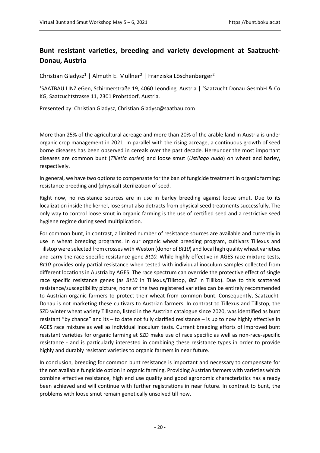# <span id="page-20-0"></span>**Bunt resistant varieties, breeding and variety development at Saatzucht-Donau, Austria**

<span id="page-20-1"></span>Christian Gladysz<sup>1</sup> | Almuth E. Müllner<sup>2</sup> | Franziska Löschenberger<sup>2</sup>

<sup>1</sup>SAATBAU LINZ eGen, Schirmerstraße 19, 4060 Leonding, Austria | <sup>2</sup>Saatzucht Donau GesmbH & Co KG, Saatzuchtstrasse 11, 2301 Probstdorf, Austria.

Presented by: Christian Gladysz, Christian.Gladysz@saatbau.com

More than 25% of the agricultural acreage and more than 20% of the arable land in Austria is under organic crop management in 2021. In parallel with the rising acreage, a continuous growth of seed borne diseases has been observed in cereals over the past decade. Hereunder the most important diseases are common bunt (*Tilletia caries*) and loose smut (*Ustilago nuda*) on wheat and barley, respectively.

In general, we have two options to compensate for the ban of fungicide treatment in organic farming: resistance breeding and (physical) sterilization of seed.

Right now, no resistance sources are in use in barley breeding against loose smut. Due to its localization inside the kernel, lose smut also detracts from physical seed treatments successfully. The only way to control loose smut in organic farming is the use of certified seed and a restrictive seed hygiene regime during seed multiplication.

For common bunt, in contrast, a limited number of resistance sources are available and currently in use in wheat breeding programs. In our organic wheat breeding program, cultivars Tillexus and Tillstop were selected from crosses with Weston (donor of *Bt10*) and local high quality wheat varieties and carry the race specific resistance gene *Bt10.* While highly effective in AGES race mixture tests, *Bt10* provides only partial resistance when tested with individual inoculum samples collected from different locations in Austria by AGES. The race spectrum can override the protective effect of single race specific resistance genes (as *Bt10* in Tillexus/Tillstop, *BtZ* in Tilliko). Due to this scattered resistance/susceptibility picture, none of the two registered varieties can be entirely recommended to Austrian organic farmers to protect their wheat from common bunt. Consequently, Saatzucht-Donau is not marketing these cultivars to Austrian farmers. In contrast to Tillexus and Tillstop, the SZD winter wheat variety Tillsano, listed in the Austrian catalogue since 2020, was identified as bunt resistant "by chance" and its – to date not fully clarified resistance – is up to now highly effective in AGES race mixture as well as individual inoculum tests. Current breeding efforts of improved bunt resistant varieties for organic farming at SZD make use of race specific as well as non-race-specific resistance - and is particularly interested in combining these resistance types in order to provide highly and durably resistant varieties to organic farmers in near future.

In conclusion, breeding for common bunt resistance is important and necessary to compensate for the not available fungicide option in organic farming. Providing Austrian farmers with varieties which combine effective resistance, high end use quality and good agronomic characteristics has already been achieved and will continue with further registrations in near future. In contrast to bunt, the problems with loose smut remain genetically unsolved till now.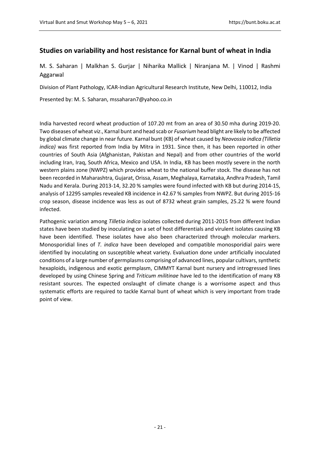### <span id="page-21-0"></span>**Studies on variability and host resistance for Karnal bunt of wheat in India**

<span id="page-21-1"></span>M. S. Saharan | Malkhan S. Gurjar | Niharika Mallick | Niranjana M. | Vinod | Rashmi Aggarwal

Division of Plant Pathology, ICAR-Indian Agricultural Research Institute, New Delhi, 110012, India

Presented by: M. S. Saharan, mssaharan7@yahoo.co.in

India harvested record wheat production of 107.20 mt from an area of 30.50 mha during 2019-20. Two diseases of wheat *viz*., Karnal bunt and head scab or *Fusarium* head blight are likely to be affected by global climate change in near future. Karnal bunt (KB) of wheat caused by *Neovossia indica (Tilletia indica)* was first reported from India by Mitra in 1931. Since then, it has been reported in other countries of South Asia (Afghanistan, Pakistan and Nepal) and from other countries of the world including Iran, Iraq, South Africa, Mexico and USA. In India, KB has been mostly severe in the north western plains zone (NWPZ) which provides wheat to the national buffer stock. The disease has not been recorded in Maharashtra, Gujarat, Orissa, Assam, Meghalaya, Karnataka, Andhra Pradesh, Tamil Nadu and Kerala. During 2013-14, 32.20 % samples were found infected with KB but during 2014-15, analysis of 12295 samples revealed KB incidence in 42.67 % samples from NWPZ. But during 2015-16 crop season, disease incidence was less as out of 8732 wheat grain samples, 25.22 % were found infected.

Pathogenic variation among *Tilletia indica* isolates collected during 2011-2015 from different Indian states have been studied by inoculating on a set of host differentials and virulent isolates causing KB have been identified. These isolates have also been characterized through molecular markers. Monosporidial lines of *T. indica* have been developed and compatible monosporidial pairs were identified by inoculating on susceptible wheat variety. Evaluation done under artificially inoculated conditions of a large number of germplasms comprising of advanced lines, popular cultivars, synthetic hexaploids, indigenous and exotic germplasm, CIMMYT Karnal bunt nursery and introgressed lines developed by using Chinese Spring and *Triticum militinae* have led to the identification of many KB resistant sources. The expected onslaught of climate change is a worrisome aspect and thus systematic efforts are required to tackle Karnal bunt of wheat which is very important from trade point of view.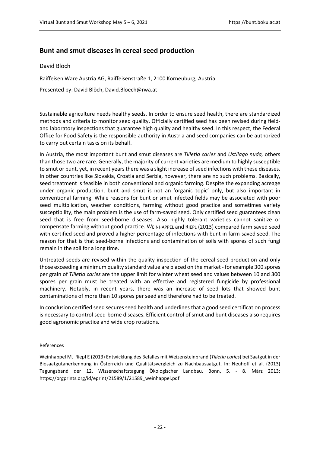### <span id="page-22-0"></span>**Bunt and smut diseases in cereal seed production**

#### <span id="page-22-1"></span>David Blöch

Raiffeisen Ware Austria AG, Raiffeisenstraße 1, 2100 Korneuburg, Austria

Presented by: David Blöch, David.Bloech@rwa.at

Sustainable agriculture needs healthy seeds. In order to ensure seed health, there are standardized methods and criteria to monitor seed quality. Officially certified seed has been revised during fieldand laboratory inspections that guarantee high quality and healthy seed. In this respect, the Federal Office for Food Safety is the responsible authority in Austria and seed companies can be authorized to carry out certain tasks on its behalf.

In Austria, the most important bunt and smut diseases are *Tilletia caries* and *Ustilago nuda,* others than those two are rare. Generally, the majority of current varieties are medium to highly susceptible to smut or bunt, yet, in recent years there was a slight increase of seed infections with these diseases. In other countries like Slovakia, Croatia and Serbia, however, there are no such problems. Basically, seed treatment is feasible in both conventional and organic farming. Despite the expanding acreage under organic production, bunt and smut is not an 'organic topic' only, but also important in conventional farming. While reasons for bunt or smut infected fields may be associated with poor seed multiplication, weather conditions, farming without good practice and sometimes variety susceptibility, the main problem is the use of farm-saved seed. Only certified seed guarantees clean seed that is free from seed-borne diseases. Also highly tolerant varieties cannot sanitize or compensate farming without good practice. WEINHAPPEL and RIEPL (2013) compared farm saved seed with certified seed and proved a higher percentage of infections with bunt in farm-saved seed. The reason for that is that seed-borne infections and contamination of soils with spores of such fungi remain in the soil for a long time.

Untreated seeds are revised within the quality inspection of the cereal seed production and only those exceeding a minimum quality standard value are placed on the market - for example 300 spores per grain of *Tilletia caries* are the upper limit for winter wheat seed and values between 10 and 300 spores per grain must be treated with an effective and registered fungicide by professional machinery. Notably, in recent years, there was an increase of seed lots that showed bunt contaminations of more than 10 spores per seed and therefore had to be treated.

In conclusion certified seed secures seed health and underlines that a good seed certification process is necessary to control seed-borne diseases. Efficient control of smut and bunt diseases also requires good agronomic practice and wide crop rotations.

#### References

Weinhappel M, Riepl E (2013) Entwicklung des Befalles mit Weizensteinbrand (*Tilletia caries*) bei Saatgut in der Biosaatgutanerkennung in Österreich und Qualitätsvergleich zu Nachbausaatgut. In: Neuhoff et al. (2013) Tagungsband der 12. Wissenschaftstagung Ökologischer Landbau. Bonn, 5. - 8. März 2013; https://orgprints.org/id/eprint/21589/1/21589\_weinhappel.pdf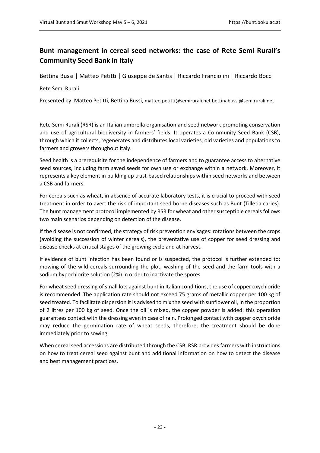## <span id="page-23-0"></span>**Bunt management in cereal seed networks: the case of Rete Semi Rurali's Community Seed Bank in Italy**

<span id="page-23-1"></span>Bettina Bussi | Matteo Petitti | Giuseppe de Santis | Riccardo Franciolini | Riccardo Bocci

#### Rete Semi Rurali

Presented by: Matteo Petitti, Bettina Bussi, matteo.petitti@semirurali.net bettinabussi@semirurali.net

Rete Semi Rurali (RSR) is an Italian umbrella organisation and seed network promoting conservation and use of agricultural biodiversity in farmers' fields. It operates a Community Seed Bank (CSB), through which it collects, regenerates and distributes local varieties, old varieties and populations to farmers and growers throughout Italy.

Seed health is a prerequisite for the independence of farmers and to guarantee access to alternative seed sources, including farm saved seeds for own use or exchange within a network. Moreover, it represents a key element in building up trust-based relationships within seed networks and between a CSB and farmers.

For cereals such as wheat, in absence of accurate laboratory tests, it is crucial to proceed with seed treatment in order to avert the risk of important seed borne diseases such as Bunt (Tilletia caries). The bunt management protocol implemented by RSR for wheat and other susceptible cereals follows two main scenarios depending on detection of the disease.

If the disease is not confirmed, the strategy of risk prevention envisages: rotations between the crops (avoiding the succession of winter cereals), the preventative use of copper for seed dressing and disease checks at critical stages of the growing cycle and at harvest.

If evidence of bunt infection has been found or is suspected, the protocol is further extended to: mowing of the wild cereals surrounding the plot, washing of the seed and the farm tools with a sodium hypochlorite solution (2%) in order to inactivate the spores.

For wheat seed dressing of small lots against bunt in Italian conditions, the use of copper oxychloride is recommended. The application rate should not exceed 75 grams of metallic copper per 100 kg of seed treated. To facilitate dispersion it is advised to mix the seed with sunflower oil, in the proportion of 2 litres per 100 kg of seed. Once the oil is mixed, the copper powder is added: this operation guarantees contact with the dressing even in case of rain. Prolonged contact with copper oxychloride may reduce the germination rate of wheat seeds, therefore, the treatment should be done immediately prior to sowing.

When cereal seed accessions are distributed through the CSB, RSR provides farmers with instructions on how to treat cereal seed against bunt and additional information on how to detect the disease and best management practices.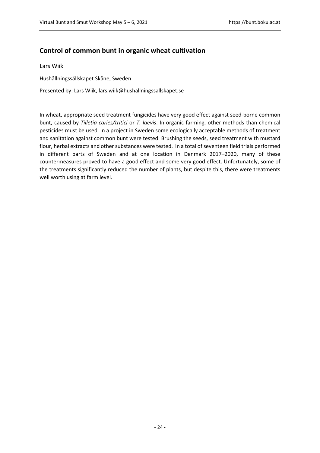### <span id="page-24-0"></span>**Control of common bunt in organic wheat cultivation**

<span id="page-24-1"></span>Lars Wiik

Hushållningssällskapet Skåne, Sweden

Presented by: Lars Wiik, lars.wiik@hushallningssallskapet.se

In wheat, appropriate seed treatment fungicides have very good effect against seed-borne common bunt, caused by *Tilletia caries/tritici* or *T. laevis*. In organic farming, other methods than chemical pesticides must be used. In a project in Sweden some ecologically acceptable methods of treatment and sanitation against common bunt were tested. Brushing the seeds, seed treatment with mustard flour, herbal extracts and other substances were tested. In a total of seventeen field trials performed in different parts of Sweden and at one location in Denmark 2017–2020, many of these countermeasures proved to have a good effect and some very good effect. Unfortunately, some of the treatments significantly reduced the number of plants, but despite this, there were treatments well worth using at farm level.